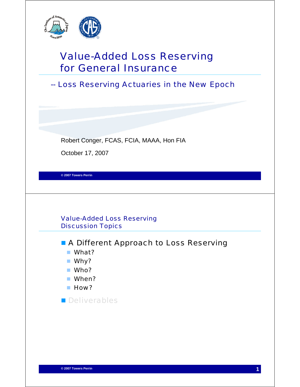

# Value-Added Loss Reserving for General Insurance

-- Loss Reserving Actuaries in the New Epoch

Robert Conger, FCAS, FCIA, MAAA, Hon FIA

October 17, 2007

**© 2007 Towers Perrin**

Value-Added Loss Reserving Discussion Topics

**A Different Approach to Loss Reserving** 

- What?
- Why?
- Who?
- When?
- **How?**

**Deliverables**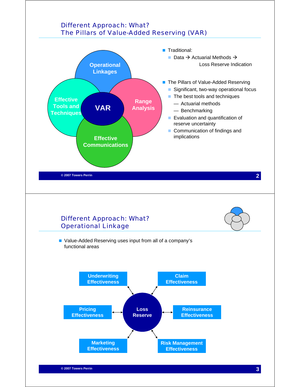## Different Approach: What? The Pillars of Value-Added Reserving (VAR)

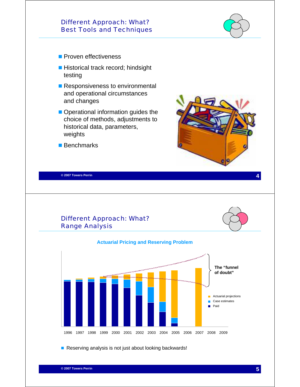#### Different Approach: What? Best Tools and Techniques

- **Proven effectiveness**
- Historical track record; hindsight testing
- **Responsiveness to environmental** and operational circumstances and changes
- Operational information guides the choice of methods, adjustments to historical data, parameters, weights
- Benchmarks



**4 © 2007 Towers Perrin**





Reserving analysis is not just about looking backwards!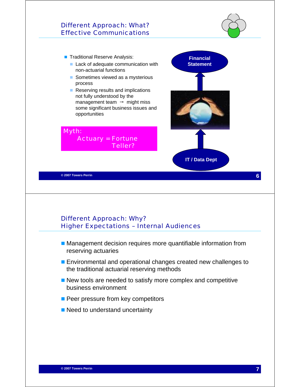#### Different Approach: What? Effective Communications



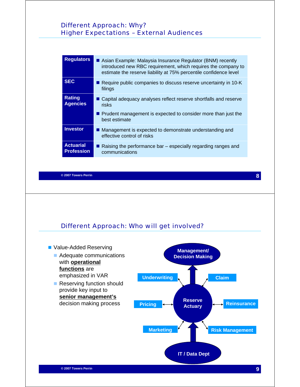#### Different Approach: Why? Higher Expectations – External Audiences

| Asian Example: Malaysia Insurance Regulator (BNM) recently<br>introduced new RBC requirement, which requires the company to<br>estimate the reserve liability at 75% percentile confidence level |
|--------------------------------------------------------------------------------------------------------------------------------------------------------------------------------------------------|
| Require public companies to discuss reserve uncertainty in 10-K<br>filings                                                                                                                       |
| ■ Capital adequacy analyses reflect reserve shortfalls and reserve<br>risks                                                                                                                      |
| Prudent management is expected to consider more than just the<br>best estimate                                                                                                                   |
| ■ Management is expected to demonstrate understanding and<br>effective control of risks                                                                                                          |
| Raising the performance bar – especially regarding ranges and<br>communications                                                                                                                  |
|                                                                                                                                                                                                  |

**8 © 2007 Towers Perrin**



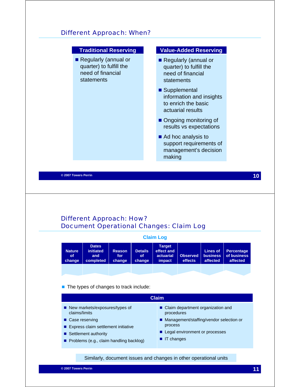#### Different Approach: When?



#### Different Approach: How? Document Operational Changes: Claim Log

|                                      |                                                      |                                |                                       | <b>Claim Log</b>                                          |                     |                                                |                                              |
|--------------------------------------|------------------------------------------------------|--------------------------------|---------------------------------------|-----------------------------------------------------------|---------------------|------------------------------------------------|----------------------------------------------|
| <b>Nature</b><br><b>of</b><br>change | <b>Dates</b><br><b>initiated</b><br>and<br>completed | <b>Reason</b><br>for<br>change | <b>Details</b><br><b>of</b><br>change | <b>Target</b><br>effect and<br>actuarial<br><b>impact</b> | Observed<br>effects | <b>Lines of</b><br><b>business</b><br>affected | <b>Percentage</b><br>of business<br>affected |
|                                      |                                                      |                                |                                       |                                                           |                     |                                                |                                              |

#### ■ The types of changes to track include:

| <b>Claim</b>                                                   |                                                   |  |  |  |  |
|----------------------------------------------------------------|---------------------------------------------------|--|--|--|--|
| $\blacksquare$ New markets/exposures/types of<br>claims/limits | ■ Claim department organization and<br>procedures |  |  |  |  |
| ■ Case reserving                                               | ■ Management/staffing/vendor selection or         |  |  |  |  |
| ■ Express claim settlement initiative                          | process                                           |  |  |  |  |
| ■ Settlement authority                                         | ■ Legal environment or processes                  |  |  |  |  |
| Problems (e.g., claim handling backlog)                        | $\blacksquare$ IT changes                         |  |  |  |  |

Similarly, document issues and changes in other operational units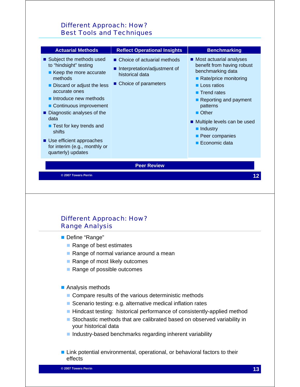#### Different Approach: How? Best Tools and Techniques

| <b>Actuarial Methods</b>                                                                                                                                                                                                                                                                                                                                                                                                                                                                                                                                                              | <b>Reflect Operational Insights</b>                                                                      | <b>Benchmarking</b>                                                                                                                                                                                                                                                                                       |
|---------------------------------------------------------------------------------------------------------------------------------------------------------------------------------------------------------------------------------------------------------------------------------------------------------------------------------------------------------------------------------------------------------------------------------------------------------------------------------------------------------------------------------------------------------------------------------------|----------------------------------------------------------------------------------------------------------|-----------------------------------------------------------------------------------------------------------------------------------------------------------------------------------------------------------------------------------------------------------------------------------------------------------|
| ■ Subject the methods used<br>to "hindsight" testing<br>$\blacksquare$ Keep the more accurate<br>methods<br>Discard or adjust the less<br>accurate ones<br>lacktriangleright intervalsed in the intervalsed in the Intervalsed in the Intervalsed in the Intervalsed in the Intervalsed Intervalsed in the Intervalsed Intervalsed Intervalsed Intervalsed Intervalsed Intervalsed Interv<br>Continuous improvement<br>Diagnostic analyses of the<br>data<br>■ Test for key trends and<br>shifts<br>■ Use efficient approaches<br>for interim (e.g., monthly or<br>quarterly) updates | ■ Choice of actuarial methods<br>Interpretation/adjustment of<br>historical data<br>Choice of parameters | ■ Most actuarial analyses<br>benefit from having robust<br>benchmarking data<br>■ Rate/price monitoring<br><b>Loss ratios</b><br>■ Trend rates<br>Reporting and payment<br>patterns<br><b>Other</b><br>■ Multiple levels can be used<br>lndustry<br><b>Peer companies</b><br>$\blacksquare$ Economic data |
|                                                                                                                                                                                                                                                                                                                                                                                                                                                                                                                                                                                       | <b>Peer Review</b>                                                                                       |                                                                                                                                                                                                                                                                                                           |
| © 2007 Towers Perrin                                                                                                                                                                                                                                                                                                                                                                                                                                                                                                                                                                  |                                                                                                          | 12                                                                                                                                                                                                                                                                                                        |

#### Different Approach: How? Range Analysis

Define "Range"

- Range of best estimates
- Range of normal variance around a mean
- Range of most likely outcomes
- Range of possible outcomes

■ Analysis methods

- Compare results of the various deterministic methods
- Scenario testing: e.g. alternative medical inflation rates
- Hindcast testing: historical performance of consistently-applied method
- Stochastic methods that are calibrated based on observed variability in your historical data
- $\blacksquare$  Industry-based benchmarks regarding inherent variability
- **Link potential environmental, operational, or behavioral factors to their** effects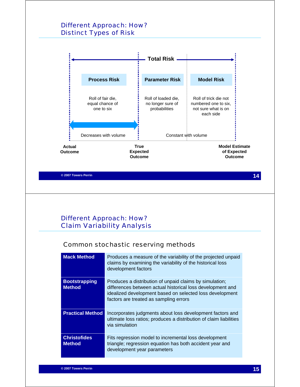#### Different Approach: How? Distinct Types of Risk

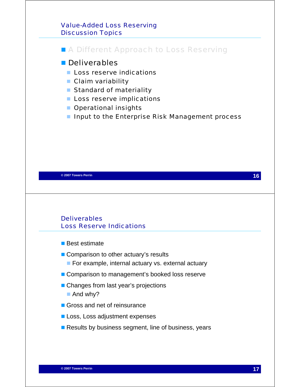#### Value-Added Loss Reserving Discussion Topics

### **A Different Approach to Loss Reserving**

#### **Deliverables**

- **Loss reserve indications**
- Claim variability
- Standard of materiality
- **Loss reserve implications**
- **Operational insights**
- **Input to the Enterprise Risk Management process**

**16 © 2007 Towers Perrin**

#### **Deliverables** Loss Reserve Indications

- Best estimate
- Comparison to other actuary's results
	- **For example, internal actuary vs. external actuary**
- Comparison to management's booked loss reserve
- Changes from last year's projections
	- And why?
- Gross and net of reinsurance
- **Loss, Loss adjustment expenses**
- Results by business segment, line of business, years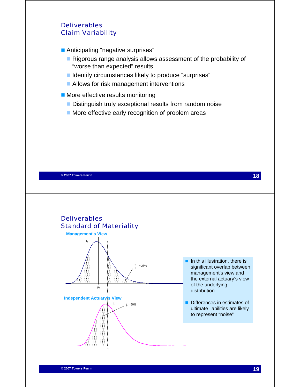#### **Deliverables** Claim Variability

**Anticipating "negative surprises"** 

- Rigorous range analysis allows assessment of the probability of "worse than expected" results
- Identify circumstances likely to produce "surprises"
- **Allows for risk management interventions**
- **More effective results monitoring** 
	- Distinguish truly exceptional results from random noise
	- **More effective early recognition of problem areas**

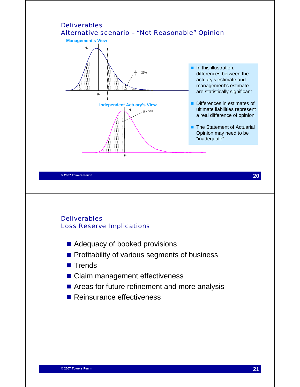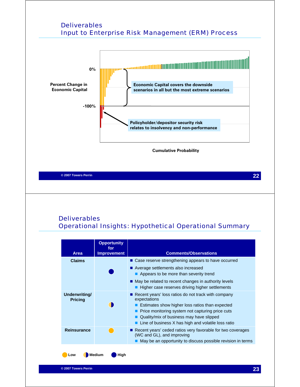#### Deliverables Input to Enterprise Risk Management (ERM) Process